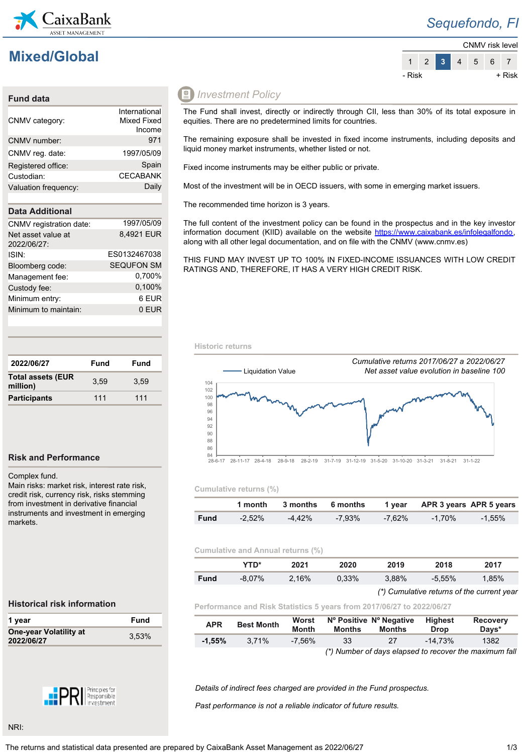



" #

|                     | $'2 \t0 - 1$<br>$\mathcal{A}_{\mathcal{A}}$<br>6<br>6 | 6                     |   |
|---------------------|-------------------------------------------------------|-----------------------|---|
|                     | 6)<br>$\overline{1}$                                  | ) /<br>6 <sup>o</sup> | 6 |
|                     |                                                       |                       |   |
| ,<br>6 <sup>6</sup> |                                                       |                       |   |
|                     |                                                       |                       |   |

| $\mathbf{u}$ |  | $%$ %. |
|--------------|--|--------|

| $78 + 8$ ) / ) 8 $8\#$ $\#$ 8 %.<br>4 178 2 ' - ) 1                                                                                                  |                                                                               |                              | 02                   |
|------------------------------------------------------------------------------------------------------------------------------------------------------|-------------------------------------------------------------------------------|------------------------------|----------------------|
| $\begin{array}{ccccccccc}\n 78 & & & & 02 & & 8 & ( & & & & & ) & & & \n 4 & & & / & 6 & & & & 98 & 8 & & & & 1\n \end{array}$                       |                                                                               |                              |                      |
| $+ 0$ ) $'$                                                                                                                                          | $\begin{array}{cccc} \cdot & \cdot & \cdot & \cdot \end{array}$ ( 8 2 ( ) 2 1 |                              |                      |
|                                                                                                                                                      |                                                                               | $-8$ $-9$ ( $5$ $98$ ' ' ' 6 |                      |
| 78 ) '' ' 8 : % / 1                                                                                                                                  |                                                                               |                              |                      |
| $78 - )$ $8 - 2$ $)$ $($ $82 - 2)$ $86$ $($<br>$ )$ $3#45 <$ $($ $89$ $($ $829991)$ 0 $(61$                                                          |                                                                               |                              | $9808$ $9888$ ; 9991 |
| $7 = #$ \$ ! 5 > # \$7!? 7, . # + # @ 5 A # , # \$\$! \$ B # 7 + C, B " 5 # 7<br>" 7 # $D$ \$ 5 7 = " +, " # 7 = \$ " > = # $D$ = " 5 # 7 " # \$ 3 1 |                                                                               |                              |                      |



|               | 3            |                             | \$4             |                |                   |            |                 |                 |                      |                  |           |                |
|---------------|--------------|-----------------------------|-----------------|----------------|-------------------|------------|-----------------|-----------------|----------------------|------------------|-----------|----------------|
|               |              | 5                           | $\ddot{}$       | 5              | $\sim$ 1          | - 5        |                 |                 | $\ddot{}$            |                  |           |                |
|               | $\mathsf{A}$ | $\mathcal{L}^{\mathcal{L}}$ | $\mathsf{A}$    |                | $A \frac{9}{6}$ . |            | $\mathsf{A}$    | $\sim 10^{-10}$ | $\mathsf{A}$         | $\sim$ 100 $\mu$ | A         |                |
|               |              |                             |                 |                |                   |            |                 |                 |                      |                  |           |                |
| $\mathcal{P}$ | 3            |                             |                 |                | \$4               |            |                 |                 |                      |                  |           |                |
|               | $.$ # $/$    |                             |                 |                |                   |            |                 | $\Omega$        |                      |                  |           | $\mathbf H$    |
|               | A            | <b>Contractor</b>           |                 | $\blacksquare$ |                   | $% \%$ . % |                 | $\mathcal{L}$   | $\mathsf{A}$         | $\bullet$        |           | $\blacksquare$ |
|               |              |                             |                 |                |                   |            | $^{\prime}$ ( ) |                 |                      |                  |           |                |
|               |              |                             |                 |                |                   |            |                 | $\mathbb{H}$    | $\mathbb{H}$         |                  | $\sim$ 11 |                |
| $\lambda$     | 6            |                             | 7<br>$\sqrt{5}$ | 5              | 89)               | 5          | 3898:           | 5               | $\overline{3}$<br>:5 |                  | 3<br>٠    |                |

 $\overline{5}$  $5$  $\overline{5}$  $'( )$  &

 $\mathcal{A}$ 

78  $\,$   $)$  $\overline{c}$  $2$  2 (/ 0 & 6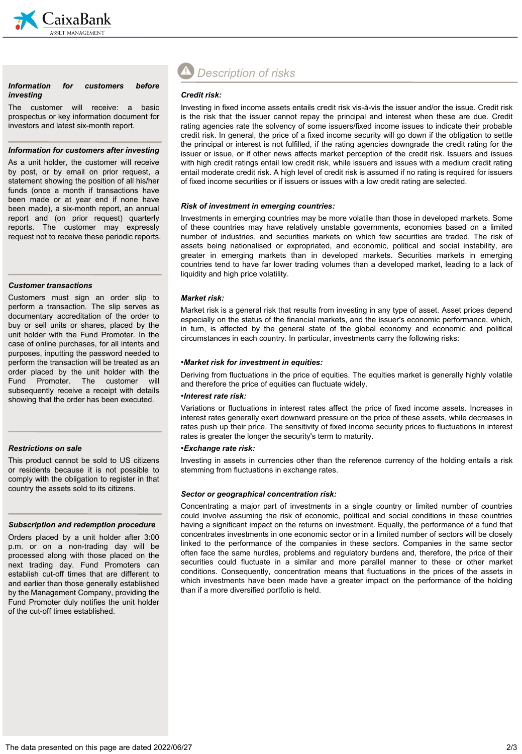

### *Information for customers before investing*

The customer will receive: a basic prospectus or key information document for investors and latest six-month report.

#### *Information for customers after investing*

As a unit holder, the customer will receive by post, or by email on prior request, a statement showing the position of all his/her funds (once a month if transactions have been made or at year end if none have been made), a six-month report, an annual report and (on prior request) quarterly reports. The customer may expressly request not to receive these periodic reports.

#### *Customer transactions*

Customers must sign an order slip to perform a transaction. The slip serves as documentary accreditation of the order to buy or sell units or shares, placed by the unit holder with the Fund Promoter. In the case of online purchases, for all intents and purposes, inputting the password needed to perform the transaction will be treated as an order placed by the unit holder with the Fund Promoter. The customer will subsequently receive a receipt with details showing that the order has been executed.

### *Restrictions on sale*

This product cannot be sold to US citizens or residents because it is not possible to comply with the obligation to register in that country the assets sold to its citizens.

#### *Subscription and redemption procedure*

Orders placed by a unit holder after 3:00 p.m. or on a non-trading day will be processed along with those placed on the next trading day. Fund Promoters can establish cut-off times that are different to and earlier than those generally established by the Management Company, providing the Fund Promoter duly notifies the unit holder of the cut-off times established.

# *Description of risks*

### *Credit risk:*

Investing in fixed income assets entails credit risk vis-à-vis the issuer and/or the issue. Credit risk is the risk that the issuer cannot repay the principal and interest when these are due. Credit rating agencies rate the solvency of some issuers/fixed income issues to indicate their probable credit risk. In general, the price of a fixed income security will go down if the obligation to settle the principal or interest is not fulfilled, if the rating agencies downgrade the credit rating for the issuer or issue, or if other news affects market perception of the credit risk. Issuers and issues with high credit ratings entail low credit risk, while issuers and issues with a medium credit rating entail moderate credit risk. A high level of credit risk is assumed if no rating is required for issuers of fixed income securities or if issuers or issues with a low credit rating are selected.

### *Risk of investment in emerging countries:*

Investments in emerging countries may be more volatile than those in developed markets. Some of these countries may have relatively unstable governments, economies based on a limited number of industries, and securities markets on which few securities are traded. The risk of assets being nationalised or expropriated, and economic, political and social instability, are greater in emerging markets than in developed markets. Securities markets in emerging countries tend to have far lower trading volumes than a developed market, leading to a lack of liquidity and high price volatility.

### *Market risk:*

Market risk is a general risk that results from investing in any type of asset. Asset prices depend especially on the status of the financial markets, and the issuer's economic performance, which, in turn, is affected by the general state of the global economy and economic and political circumstances in each country. In particular, investments carry the following risks:

### •*Market risk for investment in equities:*

Deriving from fluctuations in the price of equities. The equities market is generally highly volatile and therefore the price of equities can fluctuate widely.

### •*Interest rate risk:*

Variations or fluctuations in interest rates affect the price of fixed income assets. Increases in interest rates generally exert downward pressure on the price of these assets, while decreases in rates push up their price. The sensitivity of fixed income security prices to fluctuations in interest rates is greater the longer the security's term to maturity.

### •*Exchange rate risk:*

Investing in assets in currencies other than the reference currency of the holding entails a risk stemming from fluctuations in exchange rates.

### *Sector or geographical concentration risk:*

Concentrating a major part of investments in a single country or limited number of countries could involve assuming the risk of economic, political and social conditions in these countries having a significant impact on the returns on investment. Equally, the performance of a fund that concentrates investments in one economic sector or in a limited number of sectors will be closely linked to the performance of the companies in these sectors. Companies in the same sector often face the same hurdles, problems and regulatory burdens and, therefore, the price of their securities could fluctuate in a similar and more parallel manner to these or other market conditions. Consequently, concentration means that fluctuations in the prices of the assets in which investments have been made have a greater impact on the performance of the holding than if a more diversified portfolio is held.